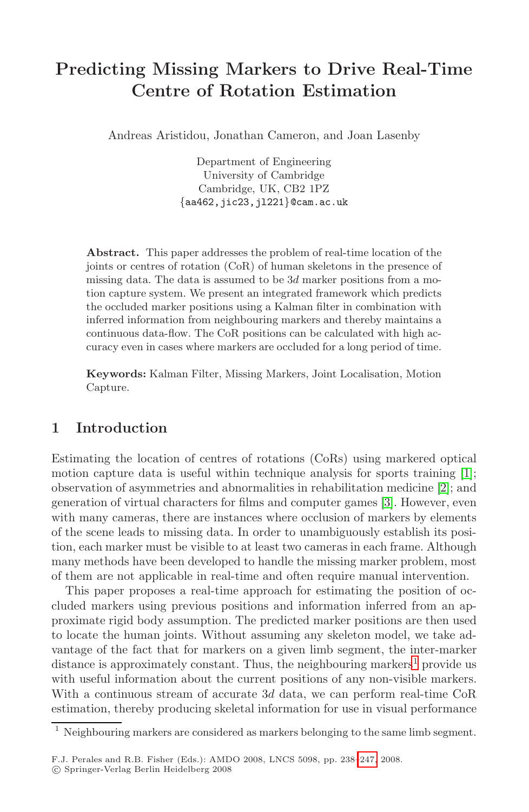# **Predicting Missing Markers to Drive Real-Time Centre of Rotation Estimation**

Andreas Aristidou, Jonathan Cameron, and Joan Lasenby

Department of Engineering University of Cambridge Cambridge, UK, CB2 1PZ {aa462,jic23,jl221}@cam.ac.uk

**Abstract.** This paper addresses the problem of real-time location of the joints or centres of rotation (CoR) of human skeletons in the presence of missing data. The data is assumed to be  $3d$  marker positions from a motion capture system. We present an integrated framework which predicts the occluded marker positions using a Kalman filter in combination with inferred information from neighbouring markers and thereby maintains a continuous data-flow. The CoR positions can be calculated with high accuracy even in cases where markers are occluded for a long period of time.

**Keywords:** Kalman Filter, Missing Markers, Joint [L](#page-8-0)ocalisation, Motion Capture.

## **1 Introduction**

Estimating the location of centres of rotations (CoRs) using markered optical motion capture data is useful within technique analysis for sports training [1]; observation of asymmetries and abnormalities in rehabilitation medicine [2]; and generation of virtual characters for films and computer games [3]. However, even with many cameras, there are instances where occlusion of markers by elements of the scene leads to missing data. In order to unambiguously establish its position, each marker must be visible to at least two c[am](#page-0-0)eras in each frame. Although many methods have been developed to handle the missing marker problem, most of them are not applicable in real-time and often require manual intervention.

<span id="page-0-0"></span>This paper proposes a real-time approach for estimating the position of occluded markers using previous positions and information inferred from an approximate rigid body assumption. The predicted marker positions are then used to locate the human joints. Without assuming any skeleton model, we take advantage of the fact that for markers o[n a](#page-9-0) given limb segment, the inter-marker distance is approximately constant. Thus, the neighbouring markers<sup>1</sup> provide us with useful information about the current positions of any non-visible markers. With a continuous stream of accurate 3d data, we can perform real-time CoR estimation, thereby producing skeletal information for use in visual performance

 $1$  Neighbouring markers are considered as markers belonging to the same limb segment.

F.J. Perales and R.B. Fisher (Eds.): AMDO 2008, LNCS 5098, pp. 238–247, 2008.

<sup>-</sup>c Springer-Verlag Berlin Heidelberg 2008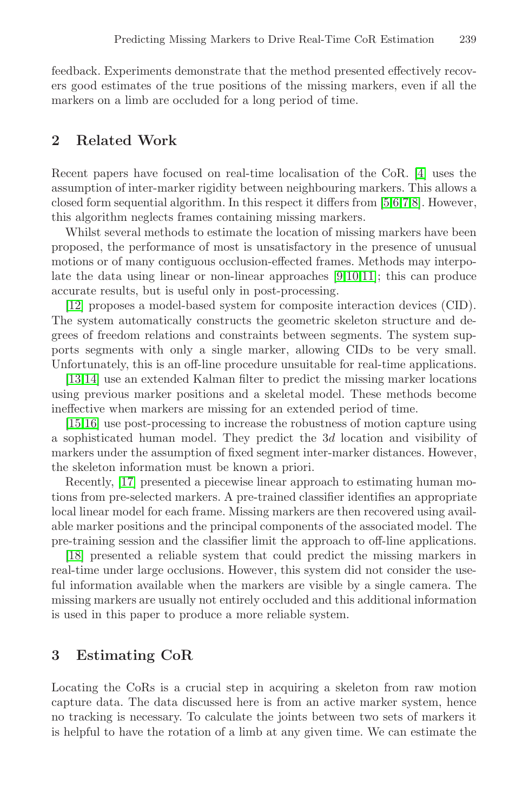feedback. Experiments demonstrate that the method presented effectively recovers good estimates of the true positions of [t](#page-9-1)[h](#page-9-2)[e](#page-9-3) [mi](#page-9-4)ssing markers, even if all the markers on a limb are occluded for a long period of time.

## **2 Related Work**

Recent papers have focused on r[ea](#page-9-5)[l-ti](#page-9-6)[me](#page-9-7) localisation of the CoR. [4] uses the assumption of inter-marker rigidity between neighbouring markers. This allows a closed form sequential algorithm. In this respect it differs from [5,6,7,8]. However, this algorithm neglects frames containing missing markers.

Whilst several methods to estimate the location of missing markers have been proposed, the performance of most is unsatisfactory in the presence of unusual motions or of many contiguous occlusion-effected frames. Methods may interpolate the data using linear or non-linear approaches [9,10,11]; this can produce accurate results, but is useful only in post-processing.

[12] proposes a model-based system for composite interaction devices (CID). The system automatically constructs the geometric skeleton structure and degrees of freedom relations and constraints between segments. The system supports segments with only a single marker, allowing CIDs to be very small. Unfortunately, this is an off-line procedure unsuitable for real-time applications.

[13,14] use an extended Kalman filter to predict the missing marker locations using previous marker positions and a skeletal model. These methods become ineffective when markers are missing for an extended period of time.

[15,16] use post-processing to increase the robustness of motion capture using a sophisticated human model. They predict the 3d location and visibility of markers under the assumption of fixed segment inter-marker distances. However, the skeleton information must be known a priori.

Recently, [17] presented a piecewise linear approach to estimating human motions from pre-selected markers. A pre-trained classifier identifies an appropriate local linear model for each frame. Missing markers are then recovered using available marker positions and the principal components of the associated model. The pre-training session and the classifier limit the approach to off-line applications.

<span id="page-1-0"></span>[18] presented a reliable system that could predict the missing markers in real-time under large occlusions. However, this system did not consider the useful information available when the markers are visible by a single camera. The missing markers are usually not entirely occluded and this additional information is used in this paper to produce a more reliable system.

## **3 Estimating CoR**

Locating the CoRs is a crucial step in acquiring a skeleton from raw motion capture data. The data discussed here is from an active marker system, hence no tracking is necessary. To calculate the joints between two sets of markers it is helpful to have the rotation of a limb at any given time. We can estimate the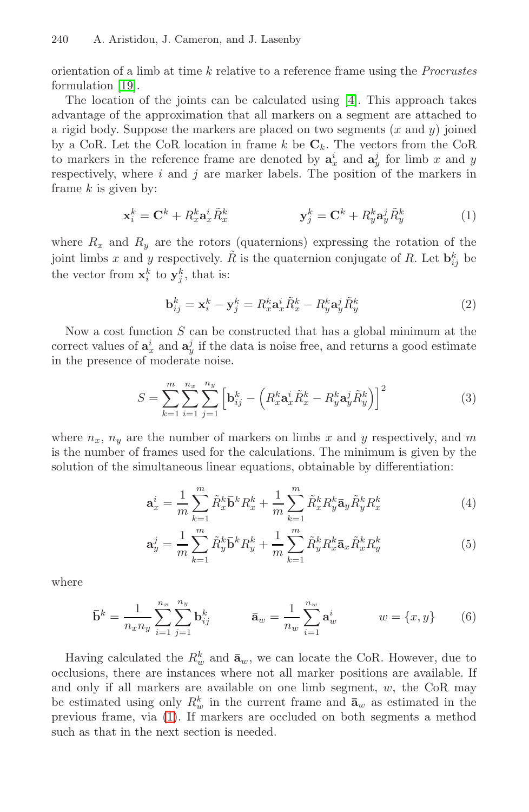#### 240 A. Aristidou, J. Cameron, and J. Lasenby

orientation of a limb at time  $k$  relative to a reference frame using the *Procrustes* formulation [19].

The location of the joints can be calculated using [4]. This approach takes advantage of the approximation that all markers on a segment are attached to a rigid body. Suppose the markers are placed on two segments  $(x \text{ and } y)$  joined by a CoR. Let the CoR location in frame k be  $\mathbf{C}_k$ . The vectors from the CoR to markers in the reference frame are denoted by  $a_x^i$  and  $a_y^j$  for limb x and y respectively, where  $i$  and  $j$  are marker labels. The position of the markers in frame  $k$  is given by:

$$
\mathbf{x}_i^k = \mathbf{C}^k + R_x^k \mathbf{a}_x^i \tilde{R}_x^k \qquad \qquad \mathbf{y}_j^k = \mathbf{C}^k + R_y^k \mathbf{a}_y^j \tilde{R}_y^k \tag{1}
$$

where  $R_x$  and  $R_y$  are the rotors (quaternions) expressing the rotation of the joint limbs x and y respectively.  $\tilde{R}$  is the quaternion conjugate of R. Let  $\mathbf{b}_{ij}^k$  be the vector from  $\mathbf{x}_i^k$  to  $\mathbf{y}_j^k$ , that is:

$$
\mathbf{b}_{ij}^k = \mathbf{x}_i^k - \mathbf{y}_j^k = R_x^k \mathbf{a}_x^i \tilde{R}_x^k - R_y^k \mathbf{a}_y^j \tilde{R}_y^k
$$
 (2)

Now a cost function  $S$  can be constructed that has a global minimum at the correct values of  $\mathbf{a}_x^i$  and  $\mathbf{a}_y^j$  if the data is noise free, and returns a good estimate in the presence of moderate noise.

$$
S = \sum_{k=1}^{m} \sum_{i=1}^{n_x} \sum_{j=1}^{n_y} \left[ \mathbf{b}_{ij}^k - \left( R_x^k \mathbf{a}_x^i \tilde{R}_x^k - R_y^k \mathbf{a}_y^j \tilde{R}_y^k \right) \right]^2 \tag{3}
$$

where  $n_x$ ,  $n_y$  are the number of markers on limbs x and y respectively, and m is the number of frames used for the calculations. The minimum is given by the solution of the simultaneous linear equations, obtainable by differentiation:

$$
\mathbf{a}_x^i = \frac{1}{m} \sum_{k=1}^m \tilde{R}_x^k \mathbf{\bar{b}}^k R_x^k + \frac{1}{m} \sum_{k=1}^m \tilde{R}_x^k R_y^k \mathbf{\bar{a}}_y \tilde{R}_y^k R_x^k \tag{4}
$$

$$
\mathbf{a}_y^j = \frac{1}{m} \sum_{k=1}^m \tilde{R}_y^k \mathbf{\bar{b}}^k R_y^k + \frac{1}{m} \sum_{k=1}^m \tilde{R}_y^k R_x^k \mathbf{\bar{a}}_x \tilde{R}_x^k R_y^k \tag{5}
$$

where

$$
\bar{\mathbf{b}}^k = \frac{1}{n_x n_y} \sum_{i=1}^{n_x} \sum_{j=1}^{n_y} \mathbf{b}_{ij}^k \qquad \bar{\mathbf{a}}_w = \frac{1}{n_w} \sum_{i=1}^{n_w} \mathbf{a}_w^i \qquad w = \{x, y\} \qquad (6)
$$

Having calculated the  $R_w^k$  and  $\bar{\mathbf{a}}_w$ , we can locate the CoR. However, due to occlusions, there are instances where not all marker positions are available. If and only if all markers are available on one limb segment,  $w$ , the CoR may be estimated using only  $R_w^k$  in the current frame and  $\bar{\mathbf{a}}_w$  as estimated in the previous frame, via (1). If markers are occluded on both segments a method such as that in the next section is needed.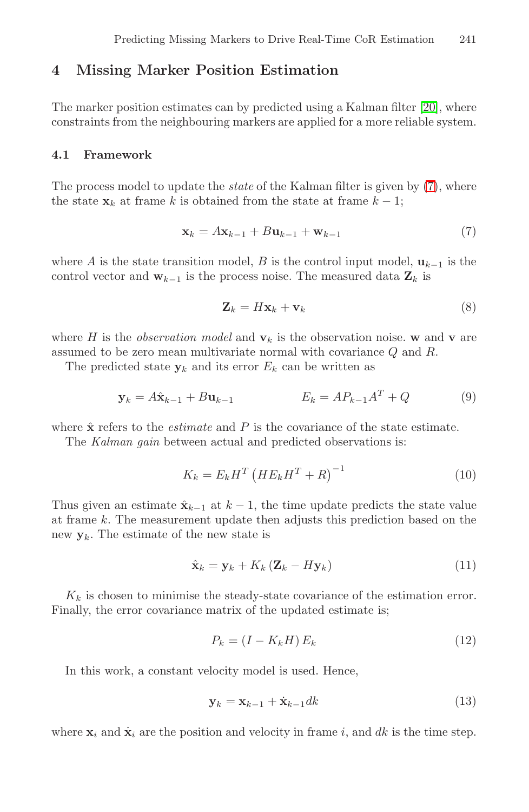# **4 Missing Marker Position Estimati[on](#page-3-0)**

<span id="page-3-0"></span>The marker position estimates can by predicted using a Kalman filter [20], where constraints from the neighbouring markers are applied for a more reliable system.

## **4.1 Framework**

The process model to update the *state* of the Kalman filter is given by  $(7)$ , where the state  $\mathbf{x}_k$  at frame k is obtained from the state at frame  $k - 1$ ;

$$
\mathbf{x}_k = A\mathbf{x}_{k-1} + B\mathbf{u}_{k-1} + \mathbf{w}_{k-1} \tag{7}
$$

where A is the state transition model, B is the control input model,  $\mathbf{u}_{k-1}$  is the control vector and  $\mathbf{w}_{k-1}$  is the process noise. The measured data  $\mathbf{Z}_k$  is

$$
\mathbf{Z}_k = H\mathbf{x}_k + \mathbf{v}_k \tag{8}
$$

where H is the *observation model* and  $\mathbf{v}_k$  is the observation noise. **w** and **v** are assumed to be zero mean multivariate normal with covariance Q and R.

The predicted state  $y_k$  and its error  $E_k$  can be written as

$$
\mathbf{y}_k = A\hat{\mathbf{x}}_{k-1} + B\mathbf{u}_{k-1} \qquad E_k = AP_{k-1}A^T + Q \qquad (9)
$$

where  $\hat{\mathbf{x}}$  refers to the *estimate* and  $P$  is the covariance of the state estimate. The Kalman gain between actual and predicted observations is:

$$
K_k = E_k H^T \left( H E_k H^T + R \right)^{-1} \tag{10}
$$

Thus given an estimate  $\hat{\mathbf{x}}_{k-1}$  at  $k-1$ , the time update predicts the state value at frame k. The measurement update then adjusts this prediction based on the new  $y_k$ . The estimate of the new state is

$$
\hat{\mathbf{x}}_k = \mathbf{y}_k + K_k \left( \mathbf{Z}_k - H \mathbf{y}_k \right) \tag{11}
$$

 $K_k$  is chosen to minimise the steady-state covariance of the estimation error. Finally, the error covariance matrix of the updated estimate is;

$$
P_k = (I - K_k H) E_k \tag{12}
$$

In this work, a constant velocity model is used. Hence,

$$
\mathbf{y}_k = \mathbf{x}_{k-1} + \dot{\mathbf{x}}_{k-1} dk \tag{13}
$$

where  $\mathbf{x}_i$  and  $\dot{\mathbf{x}}_i$  are the position and velocity in frame i, and dk is the time step.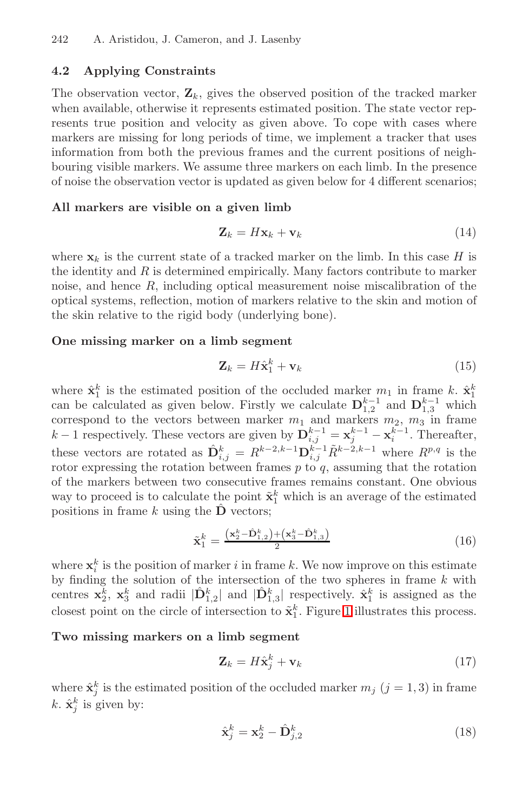#### **4.2 Applying Constraints**

The observation vector,  $\mathbf{Z}_k$ , gives the observed position of the tracked marker when available, otherwise it represents estimated position. The state vector represents true position and velocity as given above. To cope with cases where markers are missing for long periods of time, we implement a tracker that uses information from both the previous frames and the current positions of neighbouring visible markers. We assume three markers on each limb. In the presence of noise the observation vector is updated as given below for 4 different scenarios;

### **All markers are visible on a given limb**

$$
\mathbf{Z}_k = H\mathbf{x}_k + \mathbf{v}_k \tag{14}
$$

where  $\mathbf{x}_k$  is the current state of a tracked marker on the limb. In this case H is the identity and  $R$  is determined empirically. Many factors contribute to marker noise, and hence R, including optical measurement noise miscalibration of the optical systems, reflection, motion of markers relative to the skin and motion of the skin relative to the rigid body (underlying bone).

#### **One missing marker on a limb segment**

$$
\mathbf{Z}_k = H\hat{\mathbf{x}}_1^k + \mathbf{v}_k \tag{15}
$$

where  $\hat{\mathbf{x}}_1^k$  is the estimated position of the occluded marker  $m_1$  in frame k.  $\hat{\mathbf{x}}_1^k$  can be calculated as given below. Firstly we calculate  $\mathbf{D}_{1,2}^{k-1}$  and  $\mathbf{D}_{1,3}^{k-1}$  which correspond to the vectors between marker  $m_1$  and markers  $m_2$ ,  $m_3$  in frame  $k-1$  respectively. These vectors are given by  $\mathbf{D}_{i,j}^{k-1} = \mathbf{x}_j^{k-1} - \mathbf{x}_i^{k-1}$ . Thereafter, these vectors are rotated as  $\hat{\mathbf{D}}_{i,j}^k = R^{k-2,k-1} \mathbf{D}_{i,j}^{k-1} \tilde{R}^{k-2,k-1}$  where  $R^{p,q}$  is the rotor expressing the rotation between frames  $p$  to  $q$ , assuming that the rotation of the markers between two consecutive frames remains constant. One obvious way to proceed is to calculate the p[oi](#page-5-0)nt  $\tilde{\mathbf{x}}_1^k$  which is an average of the estimated positions in frame k using the  $\hat{\mathbf{D}}$  vectors;

$$
\tilde{\mathbf{x}}_1^k = \frac{(\mathbf{x}_2^k - \hat{\mathbf{D}}_{1,2}^k) + (\mathbf{x}_3^k - \hat{\mathbf{D}}_{1,3}^k)}{2} \tag{16}
$$

where  $\mathbf{x}_i^k$  is the position of marker i in frame k. We now improve on this estimate by finding the solution of the intersection of the two spheres in frame  $k$  with centres  $\mathbf{x}_2^k$ ,  $\mathbf{x}_3^k$  and radii  $|\hat{\mathbf{D}}_{1,2}^k|$  and  $|\hat{\mathbf{D}}_{1,3}^k|$  respectively.  $\hat{\mathbf{x}}_1^k$  is assigned as the closest point on the circle of intersection to  $\tilde{\mathbf{x}}_1^k$ . Figure 1 illustrates this process.

**Two missing markers on a limb segment**

$$
\mathbf{Z}_k = H\hat{\mathbf{x}}_j^k + \mathbf{v}_k \tag{17}
$$

where  $\hat{\mathbf{x}}_j^k$  is the estimated position of the occluded marker  $m_j$  ( $j = 1, 3$ ) in frame k.  $\hat{\mathbf{x}}_j^k$  is given by:

$$
\hat{\mathbf{x}}_j^k = \mathbf{x}_2^k - \hat{\mathbf{D}}_{j,2}^k \tag{18}
$$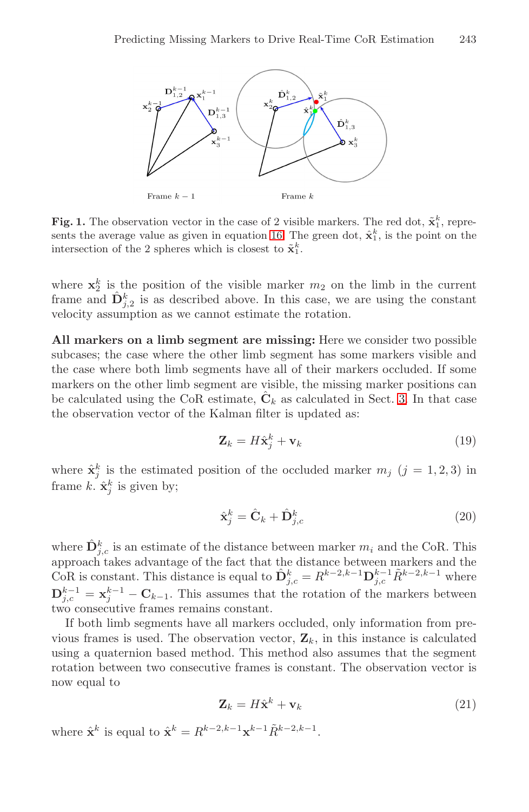

<span id="page-5-0"></span>**Fig. 1.** The observation vector in the case of 2 visible markers. The red dot,  $\tilde{\mathbf{x}}_1^k$ , represents the average value as given in equation 16. The green dot,  $\hat{\mathbf{x}}_1^k$ , is the point on the intersection of the 2 spheres which is closest to  $\tilde{\mathbf{x}}_1^k$ .

wh[er](#page-1-0)e  $\mathbf{x}_2^k$  is the position of the visible marker  $m_2$  on the limb in the current frame and  $\hat{\mathbf{D}}_{j,2}^k$  is as described above. In this case, we are using the constant velocity assumption as we cannot estimate the rotation.

**All markers on a limb segment are missing:** Here we consider two possible subcases; the case where the other limb segment has some markers visible and the case where both limb segments have all of their markers occluded. If some markers on the other limb segment are visible, the missing marker positions can be calculated using the CoR estimate,  $\hat{\mathbf{C}}_k$  as calculated in Sect. 3. In that case the observation vector of the Kalman filter is updated as:

$$
\mathbf{Z}_k = H\hat{\mathbf{x}}_j^k + \mathbf{v}_k \tag{19}
$$

where  $\hat{\mathbf{x}}_j^k$  is the estimated position of the occluded marker  $m_j$  ( $j = 1, 2, 3$ ) in frame k.  $\hat{\mathbf{x}}_j^k$  is given by;

$$
\hat{\mathbf{x}}_j^k = \hat{\mathbf{C}}_k + \hat{\mathbf{D}}_{j,c}^k \tag{20}
$$

where  $\hat{\mathbf{D}}_{j,c}^{k}$  is an estimate of the distance between marker  $m_i$  and the CoR. This approach takes advantage of the fact that the distance between markers and the CoR is constant. This distance is equal to  $\hat{\mathbf{D}}_{j,c}^k = R^{k-2,k-1} \mathbf{D}_{j,c}^{k-1} \tilde{R}^{k-2,k-1}$  where  $\mathbf{D}_{j,c}^{k-1} = \mathbf{x}_j^{k-1} - \mathbf{C}_{k-1}$ . This assumes that the rotation of the markers between two consecutive frames remains constant.

If both limb segments have all markers occluded, only information from previous frames is used. The observation vector,  $\mathbf{Z}_k$ , in this instance is calculated using a quaternion based method. This method also assumes that the segment rotation between two consecutive frames is constant. The observation vector is now equal to

$$
\mathbf{Z}_k = H\hat{\mathbf{x}}^k + \mathbf{v}_k \tag{21}
$$

where  $\hat{\mathbf{x}}^k$  is equal to  $\hat{\mathbf{x}}^k = R^{k-2,k-1}\mathbf{x}^{k-1}\tilde{R}^{k-2,k-1}$ .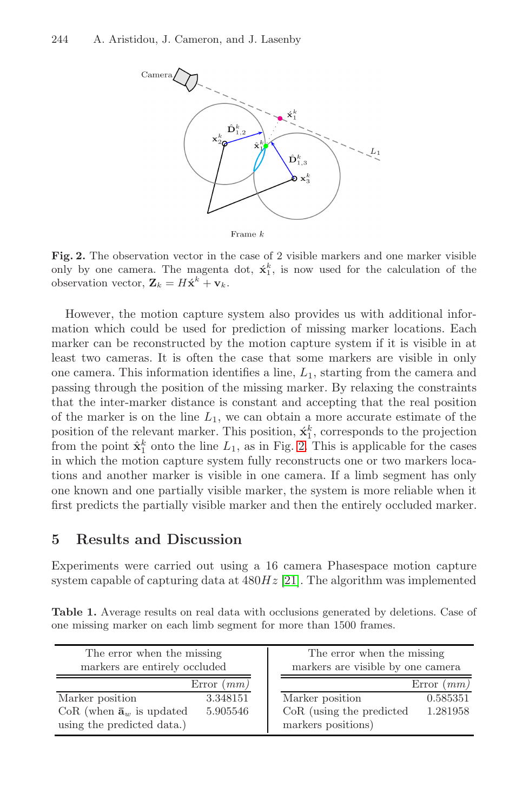#### 244 A. Aristidou, J. Cameron, and J. Lasenby



<span id="page-6-0"></span>Fig. 2. The observation vector in the case of 2 visible markers and one marker visible only by one camera. The magenta dot,  $\dot{x}_1^k$ , is now used for the calculation of the observation vector,  $\mathbf{Z}_k = H\dot{\mathbf{x}}^k + \mathbf{v}_k$ .

However, the motion capture system also provides us with additional information which could be us[ed](#page-6-0) for prediction of missing marker locations. Each marker can be reconstructed by the motion capture system if it is visible in at least two cameras. It is often the case that some markers are visible in only one camera. This information identifies a line,  $L_1$ , starting from the camera and passing through the position of the missing marker. By relaxing the constraints that the inter-marker distance is constant and accepting that the real position of the marker is on the line  $L_1$ , we can obtain a more accurate estimate of the position of the relevant marker. This position,  $\acute{\mathbf{x}}_1^k$ , corresponds to the projection from the point  $\hat{\mathbf{x}}_1^k$  onto the line  $L_1$ , as in Fig. 2. This is applicable for the cases in which the motion ca[ptur](#page-9-8)e system fully reconstructs one or two markers locations and another marker is visible in one camera. If a limb segment has only one known and one partially visible marker, the system is more reliable when it first predicts the partially visible marker and then the entirely occluded marker.

# <span id="page-6-1"></span>**5 Results and Discussion**

Experiments were carried out using a 16 camera Phasespace motion capture system capable of capturing data at  $480Hz$  [21]. The algorithm was implemented

**Table 1.** Average results on real data with occlusions generated by deletions. Case of one missing marker on each limb segment for more than 1500 frames.

| The error when the missing<br>markers are entirely occluded | The error when the missing<br>markers are visible by one camera |
|-------------------------------------------------------------|-----------------------------------------------------------------|
|                                                             | Error $(mm)$<br>Error $(mm)$                                    |
| Marker position                                             | Marker position<br>3.348151<br>0.585351                         |
| CoR (when $\bar{\mathbf{a}}_w$ is updated                   | CoR (using the predicted<br>1.281958<br>5.905546                |
| using the predicted data.)                                  | markers positions)                                              |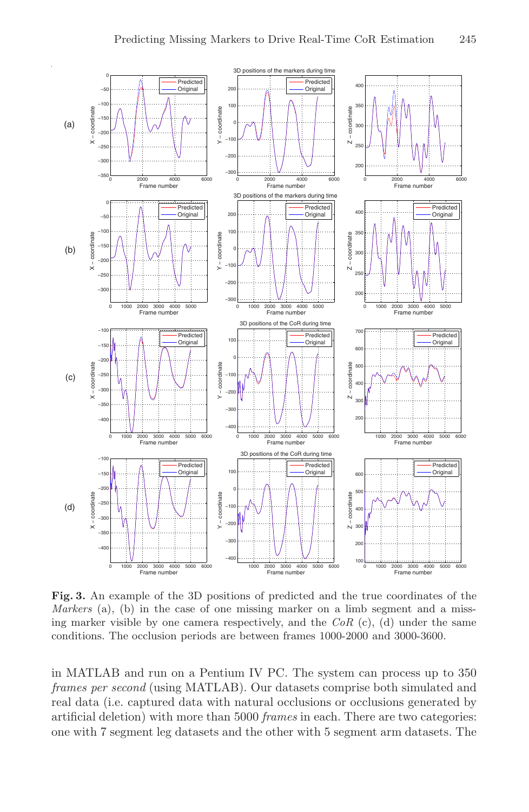

<span id="page-7-0"></span>**Fig. 3.** An example of the 3D positions of predicted and the true coordinates of the Markers (a), (b) in the case of one missing marker on a limb segment and a missing marker visible by one camera respectively, and the  $CoR$  (c), (d) under the same conditions. The occlusion periods are between frames 1000-2000 and 3000-3600.

in MATLAB and run on a Pentium IV PC. The system can process up to 350 frames per second (using MATLAB). Our datasets comprise both simulated and real data (i.e. captured data with natural occlusions or occlusions generated by artificial deletion) with more than 5000 frames in each. There are two categories: one with 7 segment leg datasets and the other with 5 segment arm datasets. The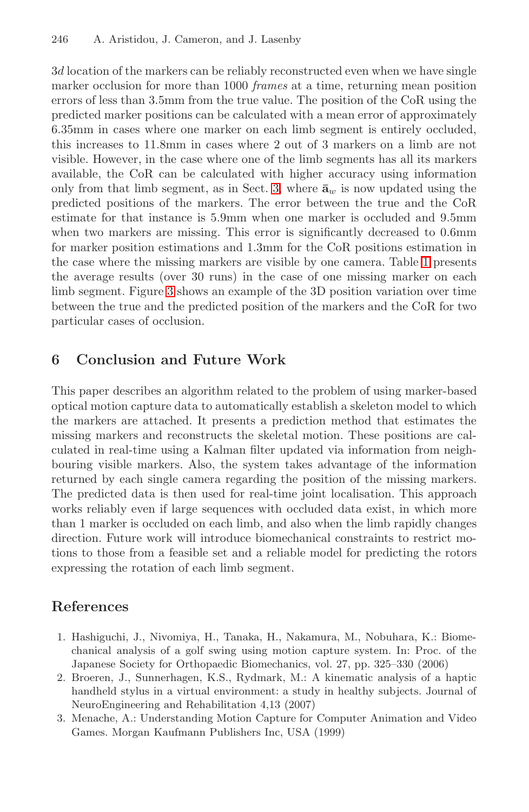#### 246 A. Aristidou, J. Cameron, and J. Lasenby

3d location of the mar[ker](#page-1-0)s can be reliably reconstructed even when we have single marker occlusion for more than 1000 frames at a time, returning mean position errors of less than 3.5mm from the true value. The position of the CoR using the predicted marker positions can be calculated with a mean error of approximately 6.35mm in cases where one marker on each limb segment is entirely occluded, this increases to 11.8mm in cases where 2 out of [3](#page-6-1) markers on a limb are not visible. However, in the case where one of the limb segments has all its markers av[ail](#page-7-0)able, the CoR can be calculated with higher accuracy using information only from that limb segment, as in Sect. 3, where  $\bar{a}_w$  is now updated using the predicted positions of the markers. The error between the true and the CoR estimate for that instance is 5.9mm when one marker is occluded and 9.5mm when two markers are missing. This error is significantly decreased to 0.6mm for marker position estimations and 1.3mm for the CoR positions estimation in the case where the missing markers are visible by one camera. Table 1 presents the average results (over 30 runs) in the case of one missing marker on each limb segment. Figure 3 shows an example of the 3D position variation over time between the true and the predicted position of the markers and the CoR for two particular cases of occlusion.

## **6 Conclusion and Future Work**

This paper describes an algorithm related to the problem of using marker-based optical motion capture data to automatically establish a skeleton model to which the markers are attached. It presents a prediction method that estimates the missing markers and reconstructs the skeletal motion. These positions are calculated in real-time using a Kalman filter updated via information from neighbouring visible markers. Also, the system takes advantage of the information returned by each single camera regarding the position of the missing markers. The predicted data is then used for real-time joint localisation. This approach works reliably even if large sequences with occluded data exist, in which more than 1 marker is occluded on each limb, and also when the limb rapidly changes direction. Future work will introduce biomechanical constraints to restrict motions to those from a feasible set and a reliable model for predicting the rotors expressing the rotation of each limb segment.

## <span id="page-8-0"></span>**References**

- 1. Hashiguchi, J., Nivomiya, H., Tanaka, H., Nakamura, M., Nobuhara, K.: Biomechanical analysis of a golf swing using motion capture system. In: Proc. of the Japanese Society for Orthopaedic Biomechanics, vol. 27, pp. 325–330 (2006)
- 2. Broeren, J., Sunnerhagen, K.S., Rydmark, M.: A kinematic analysis of a haptic handheld stylus in a virtual environment: a study in healthy subjects. Journal of NeuroEngineering and Rehabilitation 4,13 (2007)
- 3. Menache, A.: Understanding Motion Capture for Computer Animation and Video Games. Morgan Kaufmann Publishers Inc, USA (1999)